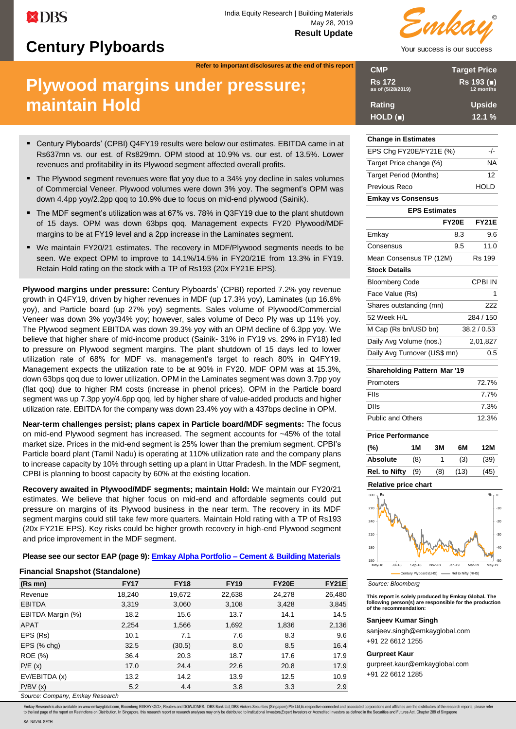# **Century Plyboards**

**Refer to important disclosures at the end of this report**

# **Plywood margins under pressure; maintain Hold**

- Century Plyboards' (CPBI) Q4FY19 results were below our estimates. EBITDA came in at Rs637mn vs. our est. of Rs829mn. OPM stood at 10.9% vs. our est. of 13.5%. Lower revenues and profitability in its Plywood segment affected overall profits.
- The Plywood segment revenues were flat yoy due to a 34% yoy decline in sales volumes of Commercial Veneer. Plywood volumes were down 3% yoy. The segment's OPM was down 4.4pp yoy/2.2pp qoq to 10.9% due to focus on mid-end plywood (Sainik).
- The MDF segment's utilization was at 67% vs. 78% in Q3FY19 due to the plant shutdown of 15 days. OPM was down 63bps qoq. Management expects FY20 Plywood/MDF margins to be at FY19 level and a 2pp increase in the Laminates segment.
- We maintain FY20/21 estimates. The recovery in MDF/Plywood segments needs to be seen. We expect OPM to improve to 14.1%/14.5% in FY20/21E from 13.3% in FY19. Retain Hold rating on the stock with a TP of Rs193 (20x FY21E EPS).

**Plywood margins under pressure:** Century Plyboards' (CPBI) reported 7.2% yoy revenue growth in Q4FY19, driven by higher revenues in MDF (up 17.3% yoy), Laminates (up 16.6% yoy), and Particle board (up 27% yoy) segments. Sales volume of Plywood/Commercial Veneer was down 3% yoy/34% yoy; however, sales volume of Deco Ply was up 11% yoy. The Plywood segment EBITDA was down 39.3% yoy with an OPM decline of 6.3pp yoy. We believe that higher share of mid-income product (Sainik- 31% in FY19 vs. 29% in FY18) led to pressure on Plywood segment margins. The plant shutdown of 15 days led to lower utilization rate of 68% for MDF vs. management's target to reach 80% in Q4FY19. Management expects the utilization rate to be at 90% in FY20. MDF OPM was at 15.3%, down 63bps qoq due to lower utilization. OPM in the Laminates segment was down 3.7pp yoy (flat qoq) due to higher RM costs (increase in phenol prices). OPM in the Particle board segment was up 7.3pp yoy/4.6pp qoq, led by higher share of value-added products and higher utilization rate. EBITDA for the company was down 23.4% yoy with a 437bps decline in OPM.

**Near-term challenges persist; plans capex in Particle board/MDF segments:** The focus on mid-end Plywood segment has increased. The segment accounts for ~45% of the total market size. Prices in the mid-end segment is 25% lower than the premium segment. CPBI's Particle board plant (Tamil Nadu) is operating at 110% utilization rate and the company plans to increase capacity by 10% through setting up a plant in Uttar Pradesh. In the MDF segment, CPBI is planning to boost capacity by 60% at the existing location.

**Recovery awaited in Plywood/MDF segments; maintain Hold:** We maintain our FY20/21 estimates. We believe that higher focus on mid-end and affordable segments could put pressure on margins of its Plywood business in the near term. The recovery in its MDF segment margins could still take few more quarters. Maintain Hold rating with a TP of Rs193 (20x FY21E EPS). Key risks could be higher growth recovery in high-end Plywood segment and price improvement in the MDF segment.

# **Please see our sector EAP (page 9): Emkay Alpha Portfolio – [Cement & Building Materials](#page-8-0)**

# **Financial Snapshot (Standalone)**

| $(Rs$ mn $)$                    | <b>FY17</b> | <b>FY18</b> | <b>FY19</b> | <b>FY20E</b> | <b>FY21E</b> |
|---------------------------------|-------------|-------------|-------------|--------------|--------------|
| Revenue                         | 18,240      | 19,672      | 22,638      | 24,278       | 26,480       |
| <b>EBITDA</b>                   | 3,319       | 3,060       | 3,108       | 3,428        | 3,845        |
| EBITDA Margin (%)               | 18.2        | 15.6        | 13.7        | 14.1         | 14.5         |
| <b>APAT</b>                     | 2,254       | 1,566       | 1,692       | 1,836        | 2,136        |
| EPS (Rs)                        | 10.1        | 7.1         | 7.6         | 8.3          | 9.6          |
| $EPS$ (% chg)                   | 32.5        | (30.5)      | 8.0         | 8.5          | 16.4         |
| ROE (%)                         | 36.4        | 20.3        | 18.7        | 17.6         | 17.9         |
| P/E(x)                          | 17.0        | 24.4        | 22.6        | 20.8         | 17.9         |
| EV/EBITDA (x)                   | 13.2        | 14.2        | 13.9        | 12.5         | 10.9         |
| P/BV(x)                         | 5.2         | 4.4         | 3.8         | 3.3          | 2.9          |
| Source: Company, Emkay Research |             |             |             |              |              |

© Your success is our success *Emkay*

| <b>CMP</b>                          | <b>Target Price</b>     |
|-------------------------------------|-------------------------|
| <b>Rs</b> 172.<br>as of (5/28/2019) | Rs 193 (a)<br>12 months |
| <b>Rating</b>                       | <b>Upside</b>           |
| HOLD (.)                            | 12.1%                   |

# **Change in Estimates**

| EPS Chg FY20E/FY21E (%)             |        |                      |              | -/-            |
|-------------------------------------|--------|----------------------|--------------|----------------|
| Target Price change (%)             |        |                      |              | <b>NA</b>      |
| <b>Target Period (Months)</b>       |        |                      |              | 12             |
| Previous Reco                       |        |                      |              | <b>HOLD</b>    |
| <b>Emkay vs Consensus</b>           |        |                      |              |                |
|                                     |        | <b>EPS Estimates</b> |              |                |
|                                     |        |                      | <b>FY20E</b> | <b>FY21E</b>   |
| Emkay                               |        |                      | 8.3          | 9.6            |
| Consensus                           |        |                      | 9.5          | 11.0           |
| Mean Consensus TP (12M)             |        |                      |              | <b>Rs 199</b>  |
| <b>Stock Details</b>                |        |                      |              |                |
| <b>Bloomberg Code</b>               |        |                      |              | <b>CPBI IN</b> |
| Face Value (Rs)                     |        |                      |              | 1              |
| Shares outstanding (mn)             |        |                      |              | 222            |
| 52 Week H/L                         |        |                      |              | 284 / 150      |
| M Cap (Rs bn/USD bn)                |        |                      |              | 38.2 / 0.53    |
| Daily Avg Volume (nos.)             |        |                      |              | 2,01,827       |
| Daily Avg Turnover (US\$ mn)        |        |                      |              | 0.5            |
| <b>Shareholding Pattern Mar '19</b> |        |                      |              |                |
| Promoters                           |        |                      |              | 72.7%          |
| Flls                                |        |                      |              | 7.7%           |
| Dlls                                |        |                      |              | 7.3%           |
| <b>Public and Others</b>            |        |                      |              | 12.3%          |
| <b>Price Performance</b>            |        |                      |              |                |
| (%)                                 | 1M     | ЗM                   | 6М           | 12M            |
| <b>Absolute</b>                     | (8)    | 1                    | (3)          | (39)           |
| <b>Rel. to Nifty</b>                | (9)    | (8)                  | (13)         | (45)           |
| Relative price chart                |        |                      |              |                |
| 300<br><b>Rs</b>                    |        |                      |              | %              |
| 270                                 |        |                      |              | $-10$          |
| 240                                 |        |                      |              | $-20$          |
| 210                                 | Wanted |                      |              | $-30$          |
| 180                                 |        |                      |              | $-40$          |
|                                     |        |                      |              |                |

*Source: Bloomberg*

Ju<br>May-18

**This report is solely produced by Emkay Global. The following person(s) are responsible for the production of the recommendation:**

tury Plyboard (LHS) - Rel to Nifty (RHS)

1<br>May-18 Sep-18 Nov-18 Jan-19

-50

**Sanjeev Kumar Singh**

sanjeev.singh@emkayglobal.com +91 22 6612 1255

#### **Gurpreet Kaur**

gurpreet.kaur@emkayglobal.com +91 22 6612 1285

Emkay Research is also available on www.emkayglobal.com, Bloomberg EMKAY<GO>, Reuters and DOWJONES. DBS Bank Ltd, DBS Vickers Securities (Singapore) Pte Ltd, its respective connected and associated corporations and affilia

SA: NAVAL SETH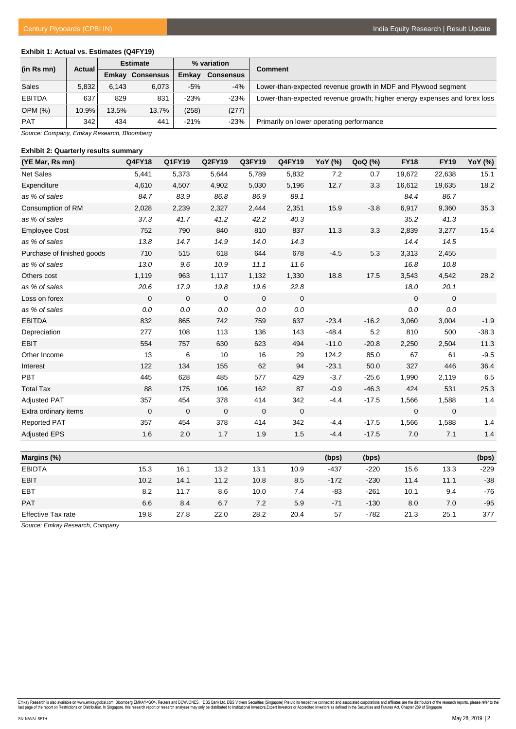# **Exhibit 1: Actual vs. Estimates (Q4FY19)**

|                                                                      | <b>Actual</b>                                          | <b>Estimate</b> |       | % variation |        | Comment                                                                   |
|----------------------------------------------------------------------|--------------------------------------------------------|-----------------|-------|-------------|--------|---------------------------------------------------------------------------|
| (in Rs mn)<br><b>Sales</b><br><b>EBITDA</b><br>OPM (%)<br><b>PAT</b> | Emkay<br>Emkav<br><b>Consensus</b><br><b>Consensus</b> |                 |       |             |        |                                                                           |
|                                                                      | 5,832                                                  | 6.143           | 6,073 | $-5%$       | -4%    | Lower-than-expected revenue growth in MDF and Plywood segment             |
|                                                                      | 637                                                    | 829             | 831   | $-23%$      | $-23%$ | Lower-than-expected revenue growth; higher energy expenses and forex loss |
|                                                                      | 10.9%                                                  | 13.5%           | 13.7% | (258)       | (277)  |                                                                           |
|                                                                      | 342                                                    | 434             | 441   | $-21%$      | $-23%$ | Primarily on lower operating performance                                  |
|                                                                      |                                                        |                 |       |             |        |                                                                           |

*Source: Company, Emkay Research, Bloomberg*

# **Exhibit 2: Quarterly results summary**

| (YE Mar, Rs mn)            | Q4FY18      | Q1FY19      | Q2FY19      | Q3FY19      | <b>Q4FY19</b> | YoY (%) | QoQ (%) | <b>FY18</b> | <b>FY19</b> | YoY (%) |
|----------------------------|-------------|-------------|-------------|-------------|---------------|---------|---------|-------------|-------------|---------|
| <b>Net Sales</b>           | 5,441       | 5,373       | 5,644       | 5,789       | 5,832         | 7.2     | 0.7     | 19,672      | 22,638      | 15.1    |
| Expenditure                | 4,610       | 4,507       | 4,902       | 5,030       | 5,196         | 12.7    | 3.3     | 16,612      | 19,635      | 18.2    |
| as % of sales              | 84.7        | 83.9        | 86.8        | 86.9        | 89.1          |         |         | 84.4        | 86.7        |         |
| Consumption of RM          | 2,028       | 2,239       | 2,327       | 2,444       | 2,351         | 15.9    | $-3.8$  | 6,917       | 9,360       | 35.3    |
| as % of sales              | 37.3        | 41.7        | 41.2        | 42.2        | 40.3          |         |         | 35.2        | 41.3        |         |
| <b>Employee Cost</b>       | 752         | 790         | 840         | 810         | 837           | 11.3    | 3.3     | 2,839       | 3,277       | 15.4    |
| as % of sales              | 13.8        | 14.7        | 14.9        | 14.0        | 14.3          |         |         | 14.4        | 14.5        |         |
| Purchase of finished goods | 710         | 515         | 618         | 644         | 678           | $-4.5$  | 5.3     | 3,313       | 2,455       |         |
| as % of sales              | 13.0        | 9.6         | 10.9        | 11.1        | 11.6          |         |         | 16.8        | 10.8        |         |
| Others cost                | 1,119       | 963         | 1,117       | 1,132       | 1,330         | 18.8    | 17.5    | 3,543       | 4,542       | 28.2    |
| as % of sales              | 20.6        | 17.9        | 19.8        | 19.6        | 22.8          |         |         | 18.0        | 20.1        |         |
| Loss on forex              | $\mathbf 0$ | $\mathbf 0$ | $\mathbf 0$ | $\mathbf 0$ | 0             |         |         | $\mathbf 0$ | 0           |         |
| as % of sales              | $0.0\,$     | $0.0\,$     | $0.0\,$     | $0.0\,$     | $0.0\,$       |         |         | $0.0\,$     | 0.0         |         |
| <b>EBITDA</b>              | 832         | 865         | 742         | 759         | 637           | $-23.4$ | $-16.2$ | 3,060       | 3,004       | $-1.9$  |
| Depreciation               | 277         | 108         | 113         | 136         | 143           | $-48.4$ | 5.2     | 810         | 500         | $-38.3$ |
| <b>EBIT</b>                | 554         | 757         | 630         | 623         | 494           | $-11.0$ | $-20.8$ | 2,250       | 2,504       | 11.3    |
| Other Income               | 13          | 6           | 10          | 16          | 29            | 124.2   | 85.0    | 67          | 61          | $-9.5$  |
| Interest                   | 122         | 134         | 155         | 62          | 94            | $-23.1$ | 50.0    | 327         | 446         | 36.4    |
| PBT                        | 445         | 628         | 485         | 577         | 429           | $-3.7$  | $-25.6$ | 1,990       | 2,119       | 6.5     |
| <b>Total Tax</b>           | 88          | 175         | 106         | 162         | 87            | $-0.9$  | $-46.3$ | 424         | 531         | 25.3    |
| <b>Adjusted PAT</b>        | 357         | 454         | 378         | 414         | 342           | $-4.4$  | $-17.5$ | 1,566       | 1,588       | 1.4     |
| Extra ordinary items       | $\mathbf 0$ | $\mathbf 0$ | $\mathbf 0$ | $\mathbf 0$ | $\mathbf 0$   |         |         | $\mathbf 0$ | $\mathbf 0$ |         |
| <b>Reported PAT</b>        | 357         | 454         | 378         | 414         | 342           | $-4.4$  | $-17.5$ | 1,566       | 1,588       | 1.4     |
| <b>Adjusted EPS</b>        | 1.6         | 2.0         | 1.7         | 1.9         | 1.5           | $-4.4$  | $-17.5$ | 7.0         | 7.1         | 1.4     |
|                            |             |             |             |             |               |         |         |             |             |         |
| Margins (%)                |             |             |             |             |               | (bps)   | (bps)   |             |             | (bps)   |
| <b>EBIDTA</b>              | 15.3        | 16.1        | 13.2        | 13.1        | 10.9          | $-437$  | $-220$  | 15.6        | 13.3        | $-229$  |
| <b>EBIT</b>                | 10.2        | 14.1        | 11.2        | 10.8        | 8.5           | $-172$  | $-230$  | 11.4        | 11.1        | $-38$   |
| EBT                        | 8.2         | 11.7        | 8.6         | 10.0        | 7.4           | $-83$   | $-261$  | 10.1        | 9.4         | $-76$   |
| <b>PAT</b>                 | 6.6         | 8.4         | 6.7         | 7.2         | 5.9           | $-71$   | $-130$  | 8.0         | 7.0         | $-95$   |

Effective Tax rate 19.8 27.8 22.0 28.2 20.4 57 -782 21.3 25.1 377

*Source: Emkay Research, Company*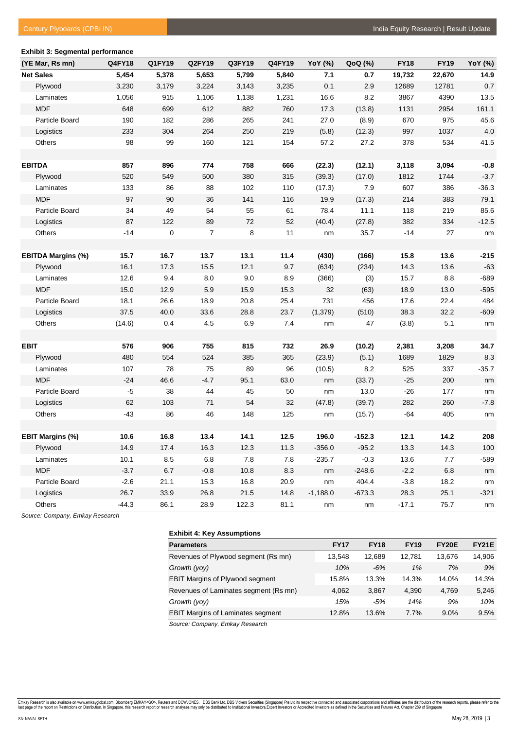# **Exhibit 3: Segmental performance**

| (YE Mar, Rs mn)           | Q4FY18  | Q1FY19    | Q2FY19           | Q3FY19  | Q4FY19 | YoY (%)    | QoQ (%)  | <b>FY18</b> | <b>FY19</b> | YoY (%)       |
|---------------------------|---------|-----------|------------------|---------|--------|------------|----------|-------------|-------------|---------------|
| <b>Net Sales</b>          | 5,454   | 5,378     | 5,653            | 5,799   | 5,840  | 7.1        | 0.7      | 19,732      | 22,670      | 14.9          |
| Plywood                   | 3,230   | 3,179     | 3,224            | 3,143   | 3,235  | 0.1        | 2.9      | 12689       | 12781       | $0.7\,$       |
| Laminates                 | 1,056   | 915       | 1,106            | 1,138   | 1,231  | 16.6       | 8.2      | 3867        | 4390        | 13.5          |
| <b>MDF</b>                | 648     | 699       | 612              | 882     | 760    | 17.3       | (13.8)   | 1131        | 2954        | 161.1         |
| Particle Board            | 190     | 182       | 286              | 265     | 241    | 27.0       | (8.9)    | 670         | 975         | 45.6          |
| Logistics                 | 233     | 304       | 264              | 250     | 219    | (5.8)      | (12.3)   | 997         | 1037        | $4.0\,$       |
| Others                    | 98      | 99        | 160              | 121     | 154    | 57.2       | 27.2     | 378         | 534         | 41.5          |
| <b>EBITDA</b>             | 857     | 896       | 774              | 758     | 666    | (22.3)     | (12.1)   | 3,118       | 3,094       | $-0.8$        |
| Plywood                   | 520     | 549       | 500              | 380     | 315    | (39.3)     | (17.0)   | 1812        | 1744        | $-3.7$        |
| Laminates                 | 133     | 86        | 88               | 102     | 110    | (17.3)     | 7.9      | 607         | 386         | $-36.3$       |
| <b>MDF</b>                | 97      | 90        | 36               | 141     | 116    | 19.9       | (17.3)   | 214         | 383         | 79.1          |
| Particle Board            | 34      | 49        | 54               | 55      | 61     | 78.4       | 11.1     | 118         | 219         | 85.6          |
| Logistics                 | 87      | 122       | 89               | 72      | 52     | (40.4)     | (27.8)   | 382         | 334         | $-12.5$       |
| Others                    | $-14$   | $\pmb{0}$ | $\boldsymbol{7}$ | 8       | 11     | nm         | 35.7     | $-14$       | 27          | nm            |
| <b>EBITDA Margins (%)</b> | 15.7    | 16.7      | 13.7             | 13.1    | 11.4   | (430)      | (166)    | 15.8        | 13.6        | $-215$        |
| Plywood                   | 16.1    | 17.3      | 15.5             | 12.1    | 9.7    | (634)      | (234)    | 14.3        | 13.6        | $-63$         |
| Laminates                 | 12.6    | 9.4       | $8.0\,$          | 9.0     | 8.9    | (366)      | (3)      | 15.7        | $8.8\,$     | $-689$        |
| <b>MDF</b>                | 15.0    | 12.9      | $5.9$            | 15.9    | 15.3   | 32         | (63)     | 18.9        | 13.0        | $-595$        |
| Particle Board            | 18.1    | 26.6      | 18.9             | 20.8    | 25.4   | 731        | 456      | 17.6        | 22.4        | 484           |
| Logistics                 | 37.5    | 40.0      | 33.6             | 28.8    | 23.7   | (1, 379)   | (510)    | 38.3        | 32.2        | $-609$        |
| Others                    | (14.6)  | 0.4       | 4.5              | 6.9     | 7.4    | nm         | 47       | (3.8)       | 5.1         | nm            |
|                           |         |           |                  |         |        |            |          |             |             |               |
| <b>EBIT</b>               | 576     | 906       | 755              | 815     | 732    | 26.9       | (10.2)   | 2,381       | 3,208       | 34.7          |
| Plywood                   | 480     | 554       | 524              | 385     | 365    | (23.9)     | (5.1)    | 1689        | 1829        | 8.3           |
| Laminates                 | 107     | 78        | 75               | 89      | 96     | (10.5)     | 8.2      | 525         | 337         | $-35.7$       |
| <b>MDF</b>                | $-24$   | 46.6      | $-4.7$           | 95.1    | 63.0   | nm         | (33.7)   | $-25$       | 200         | $\mathsf{nm}$ |
| Particle Board            | $-5$    | 38        | 44               | 45      | 50     | nm         | 13.0     | $-26$       | 177         | nm            |
| Logistics                 | 62      | 103       | $71$             | 54      | 32     | (47.8)     | (39.7)   | 282         | 260         | $-7.8$        |
| Others                    | $-43$   | 86        | 46               | 148     | 125    | nm         | (15.7)   | $-64$       | 405         | nm            |
| <b>EBIT Margins (%)</b>   | 10.6    | 16.8      | 13.4             | 14.1    | 12.5   | 196.0      | $-152.3$ | 12.1        | 14.2        | 208           |
| Plywood                   | 14.9    | 17.4      | 16.3             | 12.3    | 11.3   | $-356.0$   | $-95.2$  | 13.3        | 14.3        | 100           |
| Laminates                 | 10.1    | 8.5       | 6.8              | $7.8\,$ | $7.8$  | $-235.7$   | $-0.3$   | 13.6        | $7.7$       | $-589$        |
| <b>MDF</b>                | $-3.7$  | $6.7\,$   | $-0.8$           | 10.8    | 8.3    | nm         | $-248.6$ | $-2.2$      | $6.8\,$     | nm            |
| Particle Board            | $-2.6$  | 21.1      | 15.3             | 16.8    | 20.9   | nm         | 404.4    | $-3.8$      | 18.2        | nm            |
| Logistics                 | 26.7    | 33.9      | 26.8             | 21.5    | 14.8   | $-1,188.0$ | $-673.3$ | 28.3        | 25.1        | $-321$        |
| Others                    | $-44.3$ | 86.1      | 28.9             | 122.3   | 81.1   | nm         | nm       | $-17.1$     | 75.7        | nm            |

*Source: Company, Emkay Research*

| <b>Exhibit 4: Key Assumptions</b>        |             |             |             |              |              |
|------------------------------------------|-------------|-------------|-------------|--------------|--------------|
| <b>Parameters</b>                        | <b>FY17</b> | <b>FY18</b> | <b>FY19</b> | <b>FY20E</b> | <b>FY21E</b> |
| Revenues of Plywood segment (Rs mn)      | 13.548      | 12,689      | 12.781      | 13.676       | 14,906       |
| Growth (yoy)                             | 10%         | $-6%$       | 1%          | 7%           | 9%           |
| <b>EBIT Margins of Plywood segment</b>   | 15.8%       | 13.3%       | 14.3%       | 14.0%        | 14.3%        |
| Revenues of Laminates segment (Rs mn)    | 4,062       | 3,867       | 4.390       | 4.769        | 5,246        |
| Growth (yoy)                             | 15%         | -5%         | 14%         | 9%           | 10%          |
| <b>EBIT Margins of Laminates segment</b> | 12.8%       | 13.6%       | 7.7%        | $9.0\%$      | 9.5%         |

*Source: Company, Emkay Research*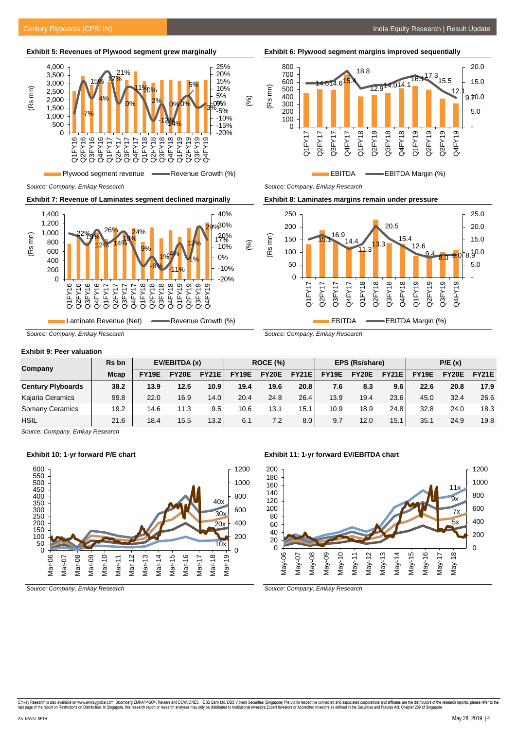16.1 17.3 15.5

12.1

 $9.70.0$ 

 15.0 20.0

 - 5.0

**Exhibit 5: Revenues of Plywood segment grew marginally**



*Source: Company, Emkay Research*

**Exhibit 7: Revenue of Laminates segment declined marginally**



*Source: Company, Emkay Research*

(Rs mn)

Q1FY17 Q2FY17 Q3FY17 Q4FY17 Q1FY18 Q2FY18 Q3FY18 Q4FY18 Q1FY19 Q2FY19 Q3FY19 Q4FY19

**Exhibit 8: Laminates margins remain under pressure**

**Exhibit 6: Plywood segment margins improved sequentially**

18.8

12.9 14.0 14.1 16.

EBITDA EBITDA Margin (%)

 $614.6$ <sup>1</sup>



*Source: Company, Emkay Research*

#### **Exhibit 9: Peer valuation**

| Company                  | <b>Rs</b> bn | EV/EBITDA (x)      |       | ROCE (%)          |       |       | EPS (Rs/share)   |              |              | P/E(x) |              |       |              |
|--------------------------|--------------|--------------------|-------|-------------------|-------|-------|------------------|--------------|--------------|--------|--------------|-------|--------------|
|                          | <b>Mcap</b>  | FY <sub>19</sub> E | FY20E | <b>FY21E</b>      | FY19E | FY20E | <b>FY21E</b>     | <b>FY19E</b> | <b>FY20E</b> | FY21E  | <b>FY19E</b> | FY20E | <b>FY21E</b> |
| <b>Century Plyboards</b> | 38.2         | 13.9               | 12.5  | 10.9 <sup>°</sup> | 19.4  | 19.6  | 20.8             | 7.6          | 8.3          | 9.6    | 22.6         | 20.8  | 17.9         |
| Kajaria Ceramics         | 99.8         | 22.0               | 16.9  | 14.0              | 20.4  | 24.8  | 26.4             | 13.9         | 19.4         | 23.6   | 45.0         | 32.4  | 26.6         |
| <b>Somany Ceramics</b>   | 19.2         | 14.6               | 11.3  | 9.5               | 10.6  | 13.1  | 15.1             | 10.9         | 18.9         | 24.8   | 32.8         | 24.0  | 18.3         |
| <b>HSIL</b>              | 21.6         | 18.4               | 15.5  | 13.2              | 6.1   | 7.2   | 8.0 <sub>1</sub> | 9.7          | 12.0         | 15.1   | 35.1         | 24.9  | 19.8         |

*Source: Company, Emkay Research*

#### **Exhibit 10: 1-yr forward P/E chart**



# **Exhibit 11: 1-yr forward EV/EBITDA chart**



*Source: Company, Emkay Research*

*Source: Company, Emkay Research*

*Source: Company, Emkay Research*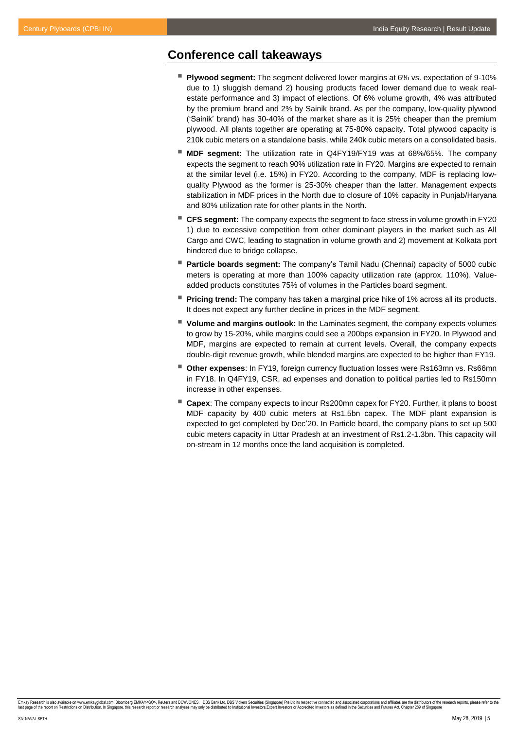# **Conference call takeaways**

- **Plywood segment:** The segment delivered lower margins at 6% vs. expectation of 9-10% due to 1) sluggish demand 2) housing products faced lower demand due to weak realestate performance and 3) impact of elections. Of 6% volume growth, 4% was attributed by the premium brand and 2% by Sainik brand. As per the company, low-quality plywood ('Sainik' brand) has 30-40% of the market share as it is 25% cheaper than the premium plywood. All plants together are operating at 75-80% capacity. Total plywood capacity is 210k cubic meters on a standalone basis, while 240k cubic meters on a consolidated basis.
- **MDF segment:** The utilization rate in Q4FY19/FY19 was at 68%/65%. The company expects the segment to reach 90% utilization rate in FY20. Margins are expected to remain at the similar level (i.e. 15%) in FY20. According to the company, MDF is replacing lowquality Plywood as the former is 25-30% cheaper than the latter. Management expects stabilization in MDF prices in the North due to closure of 10% capacity in Punjab/Haryana and 80% utilization rate for other plants in the North.
- **CFS segment:** The company expects the segment to face stress in volume growth in FY20 1) due to excessive competition from other dominant players in the market such as All Cargo and CWC, leading to stagnation in volume growth and 2) movement at Kolkata port hindered due to bridge collapse.
- **Particle boards segment:** The company's Tamil Nadu (Chennai) capacity of 5000 cubic meters is operating at more than 100% capacity utilization rate (approx. 110%). Valueadded products constitutes 75% of volumes in the Particles board segment.
- **Pricing trend:** The company has taken a marginal price hike of 1% across all its products. It does not expect any further decline in prices in the MDF segment.
- **Volume and margins outlook:** In the Laminates segment, the company expects volumes to grow by 15-20%, while margins could see a 200bps expansion in FY20. In Plywood and MDF, margins are expected to remain at current levels. Overall, the company expects double-digit revenue growth, while blended margins are expected to be higher than FY19.
- **Other expenses**: In FY19, foreign currency fluctuation losses were Rs163mn vs. Rs66mn in FY18. In Q4FY19, CSR, ad expenses and donation to political parties led to Rs150mn increase in other expenses.
- **Capex**: The company expects to incur Rs200mn capex for FY20. Further, it plans to boost MDF capacity by 400 cubic meters at Rs1.5bn capex. The MDF plant expansion is expected to get completed by Dec'20. In Particle board, the company plans to set up 500 cubic meters capacity in Uttar Pradesh at an investment of Rs1.2-1.3bn. This capacity will on-stream in 12 months once the land acquisition is completed.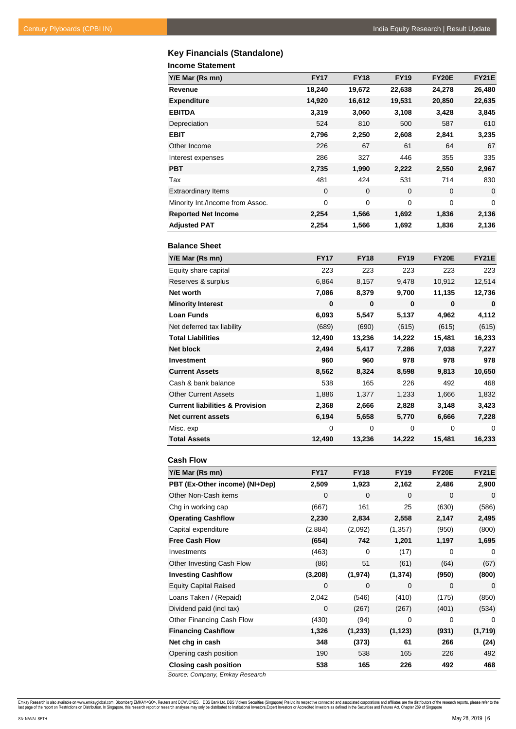# **Key Financials (Standalone)**

# **Income Statement**

| Y/E Mar (Rs mn)                  | <b>FY17</b>    | <b>FY18</b> | <b>FY19</b> | <b>FY20E</b> | <b>FY21E</b> |
|----------------------------------|----------------|-------------|-------------|--------------|--------------|
| Revenue                          | 18,240         | 19,672      | 22,638      | 24,278       | 26,480       |
| <b>Expenditure</b>               | 14,920         | 16,612      | 19,531      | 20,850       | 22,635       |
| <b>EBITDA</b>                    | 3,319          | 3,060       | 3,108       | 3,428        | 3,845        |
| Depreciation                     | 524            | 810         | 500         | 587          | 610          |
| <b>EBIT</b>                      | 2,796          | 2,250       | 2,608       | 2,841        | 3,235        |
| Other Income                     | 226            | 67          | 61          | 64           | 67           |
| Interest expenses                | 286            | 327         | 446         | 355          | 335          |
| <b>PBT</b>                       | 2,735          | 1,990       | 2,222       | 2,550        | 2,967        |
| Tax                              | 481            | 424         | 531         | 714          | 830          |
| <b>Extraordinary Items</b>       | $\overline{0}$ | $\Omega$    | $\Omega$    | $\mathbf 0$  | 0            |
| Minority Int./Income from Assoc. | 0              | $\mathbf 0$ | $\mathbf 0$ | $\mathbf 0$  | 0            |
| <b>Reported Net Income</b>       | 2,254          | 1,566       | 1,692       | 1,836        | 2,136        |
| <b>Adjusted PAT</b>              | 2,254          | 1,566       | 1,692       | 1,836        | 2,136        |

# **Balance Sheet**

| Y/E Mar (Rs mn)                            | <b>FY17</b> | <b>FY18</b> | <b>FY19</b> | <b>FY20E</b> | <b>FY21E</b> |
|--------------------------------------------|-------------|-------------|-------------|--------------|--------------|
| Equity share capital                       | 223         | 223         | 223         | 223          | 223          |
| Reserves & surplus                         | 6,864       | 8,157       | 9,478       | 10,912       | 12,514       |
| Net worth                                  | 7,086       | 8,379       | 9,700       | 11,135       | 12,736       |
| <b>Minority Interest</b>                   | $\bf{0}$    | $\bf{0}$    | $\bf{0}$    | $\bf{0}$     | $\bf{0}$     |
| <b>Loan Funds</b>                          | 6,093       | 5,547       | 5,137       | 4,962        | 4,112        |
| Net deferred tax liability                 | (689)       | (690)       | (615)       | (615)        | (615)        |
| <b>Total Liabilities</b>                   | 12,490      | 13,236      | 14,222      | 15,481       | 16,233       |
| <b>Net block</b>                           | 2,494       | 5,417       | 7,286       | 7,038        | 7,227        |
| <b>Investment</b>                          | 960         | 960         | 978         | 978          | 978          |
| <b>Current Assets</b>                      | 8,562       | 8,324       | 8,598       | 9,813        | 10,650       |
| Cash & bank balance                        | 538         | 165         | 226         | 492          | 468          |
| <b>Other Current Assets</b>                | 1,886       | 1,377       | 1,233       | 1,666        | 1,832        |
| <b>Current liabilities &amp; Provision</b> | 2,368       | 2,666       | 2,828       | 3,148        | 3,423        |
| <b>Net current assets</b>                  | 6,194       | 5,658       | 5,770       | 6,666        | 7,228        |
| Misc. exp                                  | 0           | 0           | $\Omega$    | $\Omega$     | $\Omega$     |
| <b>Total Assets</b>                        | 12,490      | 13,236      | 14,222      | 15,481       | 16,233       |

| <b>Cash Flow</b>               |             |             |             |              |              |
|--------------------------------|-------------|-------------|-------------|--------------|--------------|
| Y/E Mar (Rs mn)                | <b>FY17</b> | <b>FY18</b> | <b>FY19</b> | <b>FY20E</b> | <b>FY21E</b> |
| PBT (Ex-Other income) (NI+Dep) | 2,509       | 1,923       | 2,162       | 2,486        | 2,900        |
| Other Non-Cash items           | 0           | $\mathbf 0$ | 0           | $\mathbf 0$  | 0            |
| Chg in working cap             | (667)       | 161         | 25          | (630)        | (586)        |
| <b>Operating Cashflow</b>      | 2,230       | 2,834       | 2,558       | 2,147        | 2,495        |
| Capital expenditure            | (2,884)     | (2,092)     | (1, 357)    | (950)        | (800)        |
| <b>Free Cash Flow</b>          | (654)       | 742         | 1,201       | 1,197        | 1,695        |
| Investments                    | (463)       | 0           | (17)        | 0            | 0            |
| Other Investing Cash Flow      | (86)        | 51          | (61)        | (64)         | (67)         |
| <b>Investing Cashflow</b>      | (3,208)     | (1, 974)    | (1, 374)    | (950)        | (800)        |
| <b>Equity Capital Raised</b>   | 0           | 0           | 0           | $\mathbf 0$  | 0            |
| Loans Taken / (Repaid)         | 2,042       | (546)       | (410)       | (175)        | (850)        |
| Dividend paid (incl tax)       | $\mathbf 0$ | (267)       | (267)       | (401)        | (534)        |
| Other Financing Cash Flow      | (430)       | (94)        | $\mathbf 0$ | 0            | 0            |
| <b>Financing Cashflow</b>      | 1,326       | (1, 233)    | (1, 123)    | (931)        | (1,719)      |
| Net chg in cash                | 348         | (373)       | 61          | 266          | (24)         |
| Opening cash position          | 190         | 538         | 165         | 226          | 492          |
| <b>Closing cash position</b>   | 538         | 165         | 226         | 492          | 468          |

*Source: Company, Emkay Research*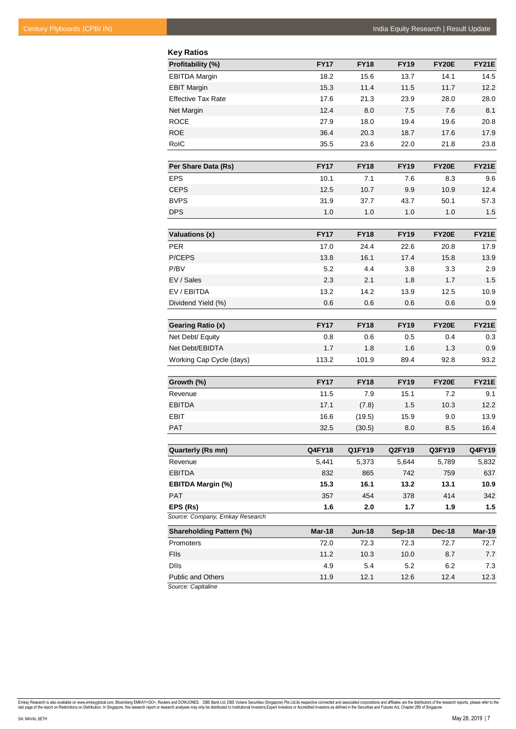| <b>Key Ratios</b>               |               |               |               |               |               |
|---------------------------------|---------------|---------------|---------------|---------------|---------------|
| Profitability (%)               | <b>FY17</b>   | <b>FY18</b>   | <b>FY19</b>   | <b>FY20E</b>  | <b>FY21E</b>  |
| <b>EBITDA Margin</b>            | 18.2          | 15.6          | 13.7          | 14.1          | 14.5          |
| <b>EBIT Margin</b>              | 15.3          | 11.4          | 11.5          | 11.7          | 12.2          |
| <b>Effective Tax Rate</b>       | 17.6          | 21.3          | 23.9          | 28.0          | 28.0          |
| Net Margin                      | 12.4          | 8.0           | 7.5           | 7.6           | 8.1           |
| <b>ROCE</b>                     | 27.9          | 18.0          | 19.4          | 19.6          | 20.8          |
| <b>ROE</b>                      | 36.4          | 20.3          | 18.7          | 17.6          | 17.9          |
| RoIC                            | 35.5          | 23.6          | 22.0          | 21.8          | 23.8          |
|                                 |               |               |               |               |               |
| Per Share Data (Rs)             | <b>FY17</b>   | <b>FY18</b>   | <b>FY19</b>   | <b>FY20E</b>  | <b>FY21E</b>  |
| <b>EPS</b>                      | 10.1          | 7.1           | 7.6           | 8.3           | 9.6           |
| <b>CEPS</b>                     | 12.5          | 10.7          | 9.9           | 10.9          | 12.4          |
| <b>BVPS</b>                     | 31.9          | 37.7          | 43.7          | 50.1          | 57.3          |
| <b>DPS</b>                      | 1.0           | 1.0           | 1.0           | 1.0           | 1.5           |
| <b>Valuations (x)</b>           | <b>FY17</b>   | <b>FY18</b>   | <b>FY19</b>   | <b>FY20E</b>  | <b>FY21E</b>  |
| <b>PER</b>                      | 17.0          | 24.4          | 22.6          | 20.8          | 17.9          |
| P/CEPS                          | 13.8          | 16.1          | 17.4          | 15.8          | 13.9          |
| P/BV                            | 5.2           | 4.4           | 3.8           | 3.3           | 2.9           |
| EV / Sales                      | 2.3           | 2.1           | 1.8           | 1.7           | 1.5           |
| EV/EBITDA                       | 13.2          | 14.2          | 13.9          | 12.5          | 10.9          |
| Dividend Yield (%)              | 0.6           | 0.6           | 0.6           | 0.6           | 0.9           |
|                                 |               |               |               |               |               |
| Gearing Ratio (x)               | <b>FY17</b>   | <b>FY18</b>   | <b>FY19</b>   | <b>FY20E</b>  | <b>FY21E</b>  |
| Net Debt/ Equity                | 0.8           | 0.6           | 0.5           | 0.4           | 0.3           |
| Net Debt/EBIDTA                 | 1.7           | 1.8           | 1.6           | 1.3           | 0.9           |
| Working Cap Cycle (days)        | 113.2         | 101.9         | 89.4          | 92.8          | 93.2          |
|                                 |               |               |               |               |               |
| Growth (%)                      | <b>FY17</b>   | <b>FY18</b>   | <b>FY19</b>   | <b>FY20E</b>  | <b>FY21E</b>  |
| Revenue                         | 11.5          | 7.9           | 15.1          | 7.2           | 9.1           |
| <b>EBITDA</b>                   | 17.1          | (7.8)         | 1.5           | 10.3          | 12.2          |
| <b>EBIT</b>                     | 16.6          | (19.5)        | 15.9          | 9.0           | 13.9          |
| <b>PAT</b>                      | 32.5          | (30.5)        | 8.0           | 8.5           | 16.4          |
| Quarterly (Rs mn)               | <b>Q4FY18</b> | Q1FY19        | <b>Q2FY19</b> | Q3FY19        | <b>Q4FY19</b> |
| Revenue                         | 5,441         | 5,373         | 5,644         | 5,789         | 5,832         |
| <b>EBITDA</b>                   | 832           | 865           | 742           | 759           | 637           |
| <b>EBITDA Margin (%)</b>        | 15.3          | 16.1          | 13.2          | 13.1          | 10.9          |
| <b>PAT</b>                      | 357           | 454           | 378           | 414           | 342           |
| EPS (Rs)                        | 1.6           | 2.0           | 1.7           | 1.9           | 1.5           |
| Source: Company, Emkay Research |               |               |               |               |               |
| <b>Shareholding Pattern (%)</b> | Mar-18        | <b>Jun-18</b> | $Sep-18$      | <b>Dec-18</b> | Mar-19        |
| Promoters                       | 72.0          | 72.3          | 72.3          | 72.7          | 72.7          |
| Flls                            | 11.2          | 10.3          | 10.0          | 8.7           | 7.7           |
| <b>DIIs</b>                     | 4.9           | 5.4           | 5.2           | 6.2           | 7.3           |
| <b>Public and Others</b>        | 11.9          | 12.1          | 12.6          | 12.4          | 12.3          |

*Source: Capitaline*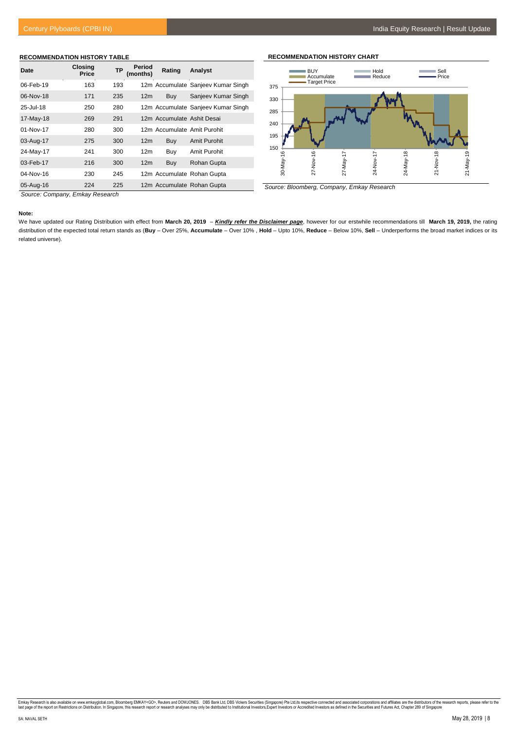#### **RECOMMENDATION HISTORY TABLE**

| Date      | <b>Closing</b><br>Price | TP  | Period<br>(months) | Rating                     | Analyst                            |
|-----------|-------------------------|-----|--------------------|----------------------------|------------------------------------|
| 06-Feb-19 | 163                     | 193 |                    |                            | 12m Accumulate Sanjeev Kumar Singh |
| 06-Nov-18 | 171                     | 235 | 12 <sub>m</sub>    | Buv                        | Sanjeev Kumar Singh                |
| 25-Jul-18 | 250                     | 280 |                    |                            | 12m Accumulate Sanjeev Kumar Singh |
| 17-May-18 | 269                     | 291 |                    | 12m Accumulate Ashit Desai |                                    |
| 01-Nov-17 | 280                     | 300 |                    |                            | 12m Accumulate Amit Purohit        |
| 03-Aug-17 | 275                     | 300 | 12 <sub>m</sub>    | Buy                        | Amit Purohit                       |
| 24-May-17 | 241                     | 300 | 12m                | Buy                        | Amit Purohit                       |
| 03-Feb-17 | 216                     | 300 | 12 <sub>m</sub>    | Buy                        | Rohan Gupta                        |
| 04-Nov-16 | 230                     | 245 |                    |                            | 12m Accumulate Rohan Gupta         |
| 05-Aug-16 | 224                     | 225 |                    |                            | 12m Accumulate Rohan Gupta         |

**RECOMMENDATION HISTORY CHART**



*Source: Bloomberg, Company, Emkay Research*

*Source: Company, Emkay Research*

#### **Note:**

We have updated our Rating Distribution with effect from **March 20, 2019** – *Kindly refer the Disclaimer page*, however for our erstwhile recommendations till **March 19, 2019,** the rating distribution of the expected total return stands as (**Buy** – Over 25%, **Accumulate** – Over 10% , **Hold** – Upto 10%, **Reduce** – Below 10%, **Sell** – Underperforms the broad market indices or its related universe).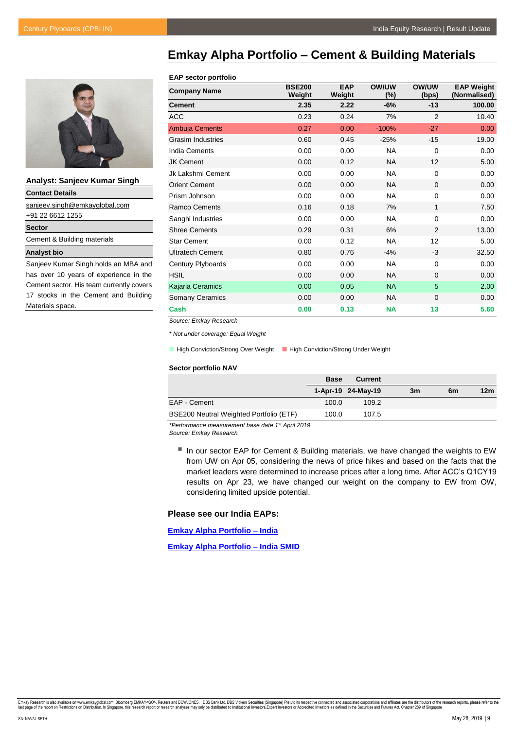

**Analyst: Sanjeev Kumar Singh Contact Details** [sanjeev.singh@emkayglobal.com](mailto:sanjeev.singh@emkayglobal.com) +91 22 6612 1255 **Sector** Cement & Building materials **Analyst bio**

Sanjeev Kumar Singh holds an MBA and has over 10 years of experience in the Cement sector. His team currently covers 17 stocks in the Cement and Building Materials space.

# <span id="page-8-0"></span>**Emkay Alpha Portfolio – Cement & Building Materials**

**EAP sector portfolio**

| <b>Company Name</b>      | <b>BSE200</b><br>Weight | <b>EAP</b><br>Weight | <b>OW/UW</b><br>(%) | <b>OW/UW</b><br>(bps) | <b>EAP Weight</b><br>(Normalised) |
|--------------------------|-------------------------|----------------------|---------------------|-----------------------|-----------------------------------|
| <b>Cement</b>            | 2.35                    | 2.22                 | $-6%$               | $-13$                 | 100.00                            |
| <b>ACC</b>               | 0.23                    | 0.24                 | 7%                  | $\overline{2}$        | 10.40                             |
| <b>Ambuja Cements</b>    | 0.27                    | 0.00                 | $-100%$             | $-27$                 | 0.00                              |
| <b>Grasim Industries</b> | 0.60                    | 0.45                 | $-25%$              | $-15$                 | 19.00                             |
| <b>India Cements</b>     | 0.00                    | 0.00                 | <b>NA</b>           | 0                     | 0.00                              |
| <b>JK Cement</b>         | 0.00                    | 0.12                 | <b>NA</b>           | 12                    | 5.00                              |
| Jk Lakshmi Cement        | 0.00                    | 0.00                 | <b>NA</b>           | 0                     | 0.00                              |
| <b>Orient Cement</b>     | 0.00                    | 0.00                 | <b>NA</b>           | $\Omega$              | 0.00                              |
| Prism Johnson            | 0.00                    | 0.00                 | <b>NA</b>           | $\Omega$              | 0.00                              |
| <b>Ramco Cements</b>     | 0.16                    | 0.18                 | 7%                  | $\mathbf{1}$          | 7.50                              |
| Sanghi Industries        | 0.00                    | 0.00                 | <b>NA</b>           | $\overline{0}$        | 0.00                              |
| <b>Shree Cements</b>     | 0.29                    | 0.31                 | 6%                  | $\overline{2}$        | 13.00                             |
| <b>Star Cement</b>       | 0.00                    | 0.12                 | <b>NA</b>           | 12                    | 5.00                              |
| <b>Ultratech Cement</b>  | 0.80                    | 0.76                 | $-4%$               | $-3$                  | 32.50                             |
| Century Plyboards        | 0.00                    | 0.00                 | <b>NA</b>           | 0                     | 0.00                              |
| <b>HSIL</b>              | 0.00                    | 0.00                 | <b>NA</b>           | $\mathbf 0$           | 0.00                              |
| Kajaria Ceramics         | 0.00                    | 0.05                 | <b>NA</b>           | 5                     | 2.00                              |
| <b>Somany Ceramics</b>   | 0.00                    | 0.00                 | <b>NA</b>           | $\mathbf 0$           | 0.00                              |
| Cash                     | 0.00                    | 0.13                 | <b>NA</b>           | 13                    | 5.60                              |

*Source: Emkay Research*

*\* Not under coverage: Equal Weight*

**High Conviction/Strong Over Weight**  High Conviction/Strong Under Weight

#### **Sector portfolio NAV**

|                                         | Base  | Current            |    |    |                 |
|-----------------------------------------|-------|--------------------|----|----|-----------------|
|                                         |       | 1-Apr-19 24-May-19 | 3m | 6m | 12 <sub>m</sub> |
| EAP - Cement                            | 100.0 | 109.2              |    |    |                 |
| BSE200 Neutral Weighted Portfolio (ETF) | 100.0 | 107.5              |    |    |                 |

*\*Performance measurement base date 1st April 2019* 

*Source: Emkay Research* 

■ In our sector EAP for Cement & Building materials, we have changed the weights to EW from UW on Apr 05, considering the news of price hikes and based on the facts that the market leaders were determined to increase prices after a long time. After ACC's Q1CY19 results on Apr 23, we have changed our weight on the company to EW from OW, considering limited upside potential.

**Please see our India EAPs:**

**[Emkay Alpha Portfolio –](https://web3.emkayglobal.com/ResearchAccess/Upload/India_May19.pdf) India**

**[Emkay Alpha Portfolio –](https://web3.emkayglobal.com/ResearchAccess/Upload/SMID_May19.pdf) India SMID**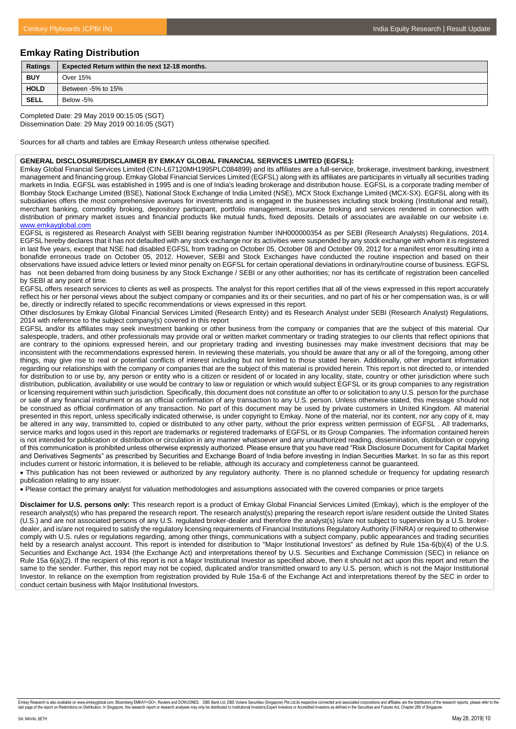# **Emkay Rating Distribution**

| Ratings     | <b>Expected Return within the next 12-18 months.</b> |
|-------------|------------------------------------------------------|
| <b>BUY</b>  | Over 15%                                             |
| <b>HOLD</b> | Between -5% to 15%                                   |
| <b>SELL</b> | Below -5%                                            |
|             |                                                      |

Completed Date: 29 May 2019 00:15:05 (SGT) Dissemination Date: 29 May 2019 00:16:05 (SGT)

Sources for all charts and tables are Emkay Research unless otherwise specified.

#### **GENERAL DISCLOSURE/DISCLAIMER BY EMKAY GLOBAL FINANCIAL SERVICES LIMITED (EGFSL):**

Emkay Global Financial Services Limited (CIN-L67120MH1995PLC084899) and its affiliates are a full-service, brokerage, investment banking, investment management and financing group. Emkay Global Financial Services Limited (EGFSL) along with its affiliates are participants in virtually all securities trading markets in India. EGFSL was established in 1995 and is one of India's leading brokerage and distribution house. EGFSL is a corporate trading member of Bombay Stock Exchange Limited (BSE), National Stock Exchange of India Limited (NSE), MCX Stock Exchange Limited (MCX-SX). EGFSL along with its subsidiaries offers the most comprehensive avenues for investments and is engaged in the businesses including stock broking (Institutional and retail), merchant banking, commodity broking, depository participant, portfolio management, insurance broking and services rendered in connection with distribution of primary market issues and financial products like mutual funds, fixed deposits. Details of associates are available on our website i.e. [www.emkayglobal.com](http://www.emkayglobal.com/)

EGFSL is registered as Research Analyst with SEBI bearing registration Number INH000000354 as per SEBI (Research Analysts) Regulations, 2014. EGFSL hereby declares that it has not defaulted with any stock exchange nor its activities were suspended by any stock exchange with whom it is registered in last five years, except that NSE had disabled EGFSL from trading on October 05, October 08 and October 09, 2012 for a manifest error resulting into a bonafide erroneous trade on October 05, 2012. However, SEBI and Stock Exchanges have conducted the routine inspection and based on their observations have issued advice letters or levied minor penalty on EGFSL for certain operational deviations in ordinary/routine course of business. EGFSL has not been debarred from doing business by any Stock Exchange / SEBI or any other authorities; nor has its certificate of registration been cancelled by SEBI at any point of time.

EGFSL offers research services to clients as well as prospects. The analyst for this report certifies that all of the views expressed in this report accurately reflect his or her personal views about the subject company or companies and its or their securities, and no part of his or her compensation was, is or will be, directly or indirectly related to specific recommendations or views expressed in this report.

Other disclosures by Emkay Global Financial Services Limited (Research Entity) and its Research Analyst under SEBI (Research Analyst) Regulations, 2014 with reference to the subject company(s) covered in this report

EGFSL and/or its affiliates may seek investment banking or other business from the company or companies that are the subject of this material. Our salespeople, traders, and other professionals may provide oral or written market commentary or trading strategies to our clients that reflect opinions that are contrary to the opinions expressed herein, and our proprietary trading and investing businesses may make investment decisions that may be inconsistent with the recommendations expressed herein. In reviewing these materials, you should be aware that any or all of the foregoing, among other things, may give rise to real or potential conflicts of interest including but not limited to those stated herein. Additionally, other important information regarding our relationships with the company or companies that are the subject of this material is provided herein. This report is not directed to, or intended for distribution to or use by, any person or entity who is a citizen or resident of or located in any locality, state, country or other jurisdiction where such distribution, publication, availability or use would be contrary to law or regulation or which would subject EGFSL or its group companies to any registration or licensing requirement within such jurisdiction. Specifically, this document does not constitute an offer to or solicitation to any U.S. person for the purchase or sale of any financial instrument or as an official confirmation of any transaction to any U.S. person. Unless otherwise stated, this message should not be construed as official confirmation of any transaction. No part of this document may be used by private customers in United Kingdom. All material presented in this report, unless specifically indicated otherwise, is under copyright to Emkay. None of the material, nor its content, nor any copy of it, may be altered in any way, transmitted to, copied or distributed to any other party, without the prior express written permission of EGFSL. All trademarks, service marks and logos used in this report are trademarks or registered trademarks of EGFSL or its Group Companies. The information contained herein is not intended for publication or distribution or circulation in any manner whatsoever and any unauthorized reading, dissemination, distribution or copying of this communication is prohibited unless otherwise expressly authorized. Please ensure that you have read "Risk Disclosure Document for Capital Market and Derivatives Segments" as prescribed by Securities and Exchange Board of India before investing in Indian Securities Market. In so far as this report includes current or historic information, it is believed to be reliable, although its accuracy and completeness cannot be guaranteed.

 This publication has not been reviewed or authorized by any regulatory authority. There is no planned schedule or frequency for updating research publication relating to any issuer.

Please contact the primary analyst for valuation methodologies and assumptions associated with the covered companies or price targets

**Disclaimer for U.S. persons only:** This research report is a product of Emkay Global Financial Services Limited (Emkay), which is the employer of the research analyst(s) who has prepared the research report. The research analyst(s) preparing the research report is/are resident outside the United States (U.S.) and are not associated persons of any U.S. regulated broker-dealer and therefore the analyst(s) is/are not subject to supervision by a U.S. brokerdealer, and is/are not required to satisfy the regulatory licensing requirements of Financial Institutions Regulatory Authority (FINRA) or required to otherwise comply with U.S. rules or regulations regarding, among other things, communications with a subject company, public appearances and trading securities held by a research analyst account. This report is intended for distribution to "Major Institutional Investors" as defined by Rule 15a-6(b)(4) of the U.S. Securities and Exchange Act, 1934 (the Exchange Act) and interpretations thereof by U.S. Securities and Exchange Commission (SEC) in reliance on Rule 15a 6(a)(2). If the recipient of this report is not a Major Institutional Investor as specified above, then it should not act upon this report and return the same to the sender. Further, this report may not be copied, duplicated and/or transmitted onward to any U.S. person, which is not the Major Institutional Investor. In reliance on the exemption from registration provided by Rule 15a-6 of the Exchange Act and interpretations thereof by the SEC in order to conduct certain business with Major Institutional Investors.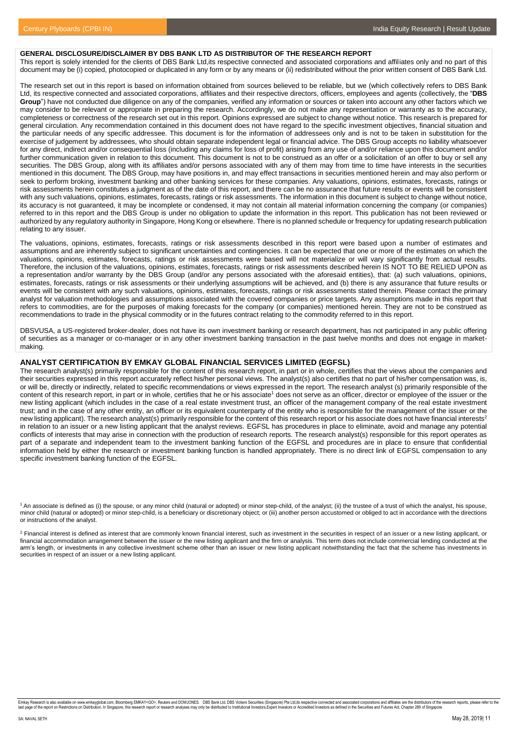#### **GENERAL DISCLOSURE/DISCLAIMER BY DBS BANK LTD AS DISTRIBUTOR OF THE RESEARCH REPORT**

This report is solely intended for the clients of DBS Bank Ltd,its respective connected and associated corporations and affiliates only and no part of this document may be (i) copied, photocopied or duplicated in any form or by any means or (ii) redistributed without the prior written consent of DBS Bank Ltd.

The research set out in this report is based on information obtained from sources believed to be reliable, but we (which collectively refers to DBS Bank Ltd, its respective connected and associated corporations, affiliates and their respective directors, officers, employees and agents (collectively, the "**DBS Group**") have not conducted due diligence on any of the companies, verified any information or sources or taken into account any other factors which we may consider to be relevant or appropriate in preparing the research. Accordingly, we do not make any representation or warranty as to the accuracy, completeness or correctness of the research set out in this report. Opinions expressed are subject to change without notice. This research is prepared for general circulation. Any recommendation contained in this document does not have regard to the specific investment objectives, financial situation and the particular needs of any specific addressee. This document is for the information of addressees only and is not to be taken in substitution for the exercise of judgement by addressees, who should obtain separate independent legal or financial advice. The DBS Group accepts no liability whatsoever for any direct, indirect and/or consequential loss (including any claims for loss of profit) arising from any use of and/or reliance upon this document and/or further communication given in relation to this document. This document is not to be construed as an offer or a solicitation of an offer to buy or sell any securities. The DBS Group, along with its affiliates and/or persons associated with any of them may from time to time have interests in the securities mentioned in this document. The DBS Group, may have positions in, and may effect transactions in securities mentioned herein and may also perform or seek to perform broking, investment banking and other banking services for these companies. Any valuations, opinions, estimates, forecasts, ratings or risk assessments herein constitutes a judgment as of the date of this report, and there can be no assurance that future results or events will be consistent with any such valuations, opinions, estimates, forecasts, ratings or risk assessments. The information in this document is subject to change without notice, its accuracy is not guaranteed, it may be incomplete or condensed, it may not contain all material information concerning the company (or companies) referred to in this report and the DBS Group is under no obligation to update the information in this report. This publication has not been reviewed or authorized by any regulatory authority in Singapore, Hong Kong or elsewhere. There is no planned schedule or frequency for updating research publication relating to any issuer.

The valuations, opinions, estimates, forecasts, ratings or risk assessments described in this report were based upon a number of estimates and assumptions and are inherently subject to significant uncertainties and contingencies. It can be expected that one or more of the estimates on which the valuations, opinions, estimates, forecasts, ratings or risk assessments were based will not materialize or will vary significantly from actual results. Therefore, the inclusion of the valuations, opinions, estimates, forecasts, ratings or risk assessments described herein IS NOT TO BE RELIED UPON as a representation and/or warranty by the DBS Group (and/or any persons associated with the aforesaid entities), that: (a) such valuations, opinions, estimates, forecasts, ratings or risk assessments or their underlying assumptions will be achieved, and (b) there is any assurance that future results or events will be consistent with any such valuations, opinions, estimates, forecasts, ratings or risk assessments stated therein. Please contact the primary analyst for valuation methodologies and assumptions associated with the covered companies or price targets. Any assumptions made in this report that refers to commodities, are for the purposes of making forecasts for the company (or companies) mentioned herein. They are not to be construed as recommendations to trade in the physical commodity or in the futures contract relating to the commodity referred to in this report.

DBSVUSA, a US-registered broker-dealer, does not have its own investment banking or research department, has not participated in any public offering of securities as a manager or co-manager or in any other investment banking transaction in the past twelve months and does not engage in marketmaking.

#### **ANALYST CERTIFICATION BY EMKAY GLOBAL FINANCIAL SERVICES LIMITED (EGFSL)**

The research analyst(s) primarily responsible for the content of this research report, in part or in whole, certifies that the views about the companies and their securities expressed in this report accurately reflect his/her personal views. The analyst(s) also certifies that no part of his/her compensation was, is, or will be, directly or indirectly, related to specific recommendations or views expressed in the report. The research analyst (s) primarily responsible of the content of this research report, in part or in whole, certifies that he or his associate<sup>1</sup> does not serve as an officer, director or employee of the issuer or the new listing applicant (which includes in the case of a real estate investment trust, an officer of the management company of the real estate investment trust; and in the case of any other entity, an officer or its equivalent counterparty of the entity who is responsible for the management of the issuer or the new listing applicant). The research analyst(s) primarily responsible for the content of this research report or his associate does not have financial interests<sup>2</sup> in relation to an issuer or a new listing applicant that the analyst reviews. EGFSL has procedures in place to eliminate, avoid and manage any potential conflicts of interests that may arise in connection with the production of research reports. The research analyst(s) responsible for this report operates as part of a separate and independent team to the investment banking function of the EGFSL and procedures are in place to ensure that confidential information held by either the research or investment banking function is handled appropriately. There is no direct link of EGFSL compensation to any specific investment banking function of the EGFSL.

<sup>2</sup> Financial interest is defined as interest that are commonly known financial interest, such as investment in the securities in respect of an issuer or a new listing applicant, or financial accommodation arrangement between the issuer or the new listing applicant and the firm or analysis. This term does not include commercial lending conducted at the arm's length, or investments in any collective investment scheme other than an issuer or new listing applicant notwithstanding the fact that the scheme has investments in securities in respect of an issuer or a new listing applicant.

<sup>&</sup>lt;sup>1</sup> An associate is defined as (i) the spouse, or any minor child (natural or adopted) or minor step-child, of the analyst; (ii) the trustee of a trust of which the analyst, his spouse, minor child (natural or adopted) or minor step-child, is a beneficiary or discretionary object; or (iii) another person accustomed or obliged to act in accordance with the directions or instructions of the analyst.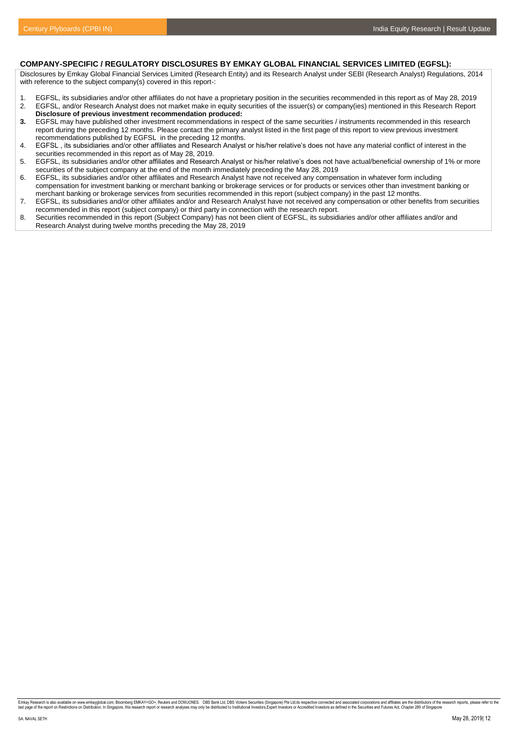# **COMPANY-SPECIFIC / REGULATORY DISCLOSURES BY EMKAY GLOBAL FINANCIAL SERVICES LIMITED (EGFSL):**

Disclosures by Emkay Global Financial Services Limited (Research Entity) and its Research Analyst under SEBI (Research Analyst) Regulations, 2014 with reference to the subject company(s) covered in this report-:

- 1. EGFSL, its subsidiaries and/or other affiliates do not have a proprietary position in the securities recommended in this report as of May 28, 2019
- 2. EGFSL, and/or Research Analyst does not market make in equity securities of the issuer(s) or company(ies) mentioned in this Research Report **Disclosure of previous investment recommendation produced:**<br>**3** EGESL may have published other investment recommendations in
- **3.** EGFSL may have published other investment recommendations in respect of the same securities / instruments recommended in this research report during the preceding 12 months. Please contact the primary analyst listed in the first page of this report to view previous investment recommendations published by EGFSL in the preceding 12 months.
- 4. EGFSL , its subsidiaries and/or other affiliates and Research Analyst or his/her relative's does not have any material conflict of interest in the securities recommended in this report as of May 28, 2019.
- 5. EGFSL, its subsidiaries and/or other affiliates and Research Analyst or his/her relative's does not have actual/beneficial ownership of 1% or more securities of the subject company at the end of the month immediately preceding the May 28, 2019
- 6. EGFSL, its subsidiaries and/or other affiliates and Research Analyst have not received any compensation in whatever form including compensation for investment banking or merchant banking or brokerage services or for products or services other than investment banking or merchant banking or brokerage services from securities recommended in this report (subject company) in the past 12 months.
- 7. EGFSL, its subsidiaries and/or other affiliates and/or and Research Analyst have not received any compensation or other benefits from securities recommended in this report (subject company) or third party in connection with the research report.
- 8. Securities recommended in this report (Subject Company) has not been client of EGFSL, its subsidiaries and/or other affiliates and/or and Research Analyst during twelve months preceding the May 28, 2019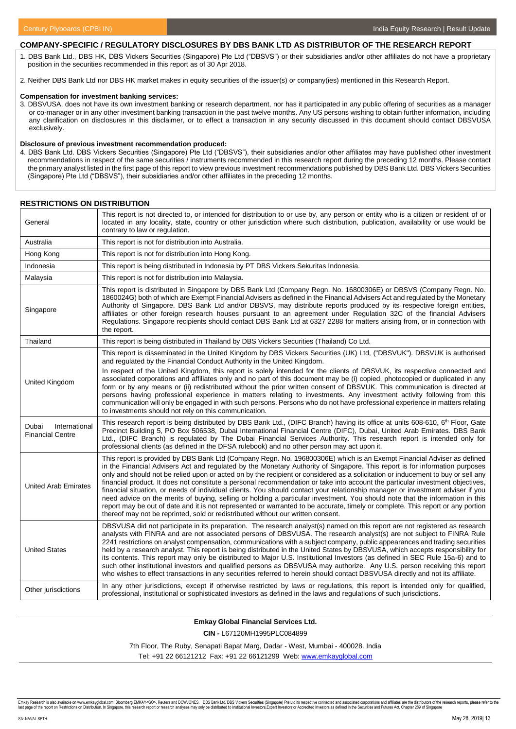# **COMPANY-SPECIFIC / REGULATORY DISCLOSURES BY DBS BANK LTD AS DISTRIBUTOR OF THE RESEARCH REPORT**

1. DBS Bank Ltd., DBS HK, DBS Vickers Securities (Singapore) Pte Ltd ("DBSVS") or their subsidiaries and/or other affiliates do not have a proprietary position in the securities recommended in this report as of 30 Apr 2018.

2. Neither DBS Bank Ltd nor DBS HK market makes in equity securities of the issuer(s) or company(ies) mentioned in this Research Report.

#### **Compensation for investment banking services:**

3. DBSVUSA, does not have its own investment banking or research department, nor has it participated in any public offering of securities as a manager or co-manager or in any other investment banking transaction in the past twelve months. Any US persons wishing to obtain further information, including any clarification on disclosures in this disclaimer, or to effect a transaction in any security discussed in this document should contact DBSVUSA exclusively.

## **Disclosure of previous investment recommendation produced:**

4. DBS Bank Ltd. DBS Vickers Securities (Singapore) Pte Ltd ("DBSVS"), their subsidiaries and/or other affiliates may have published other investment recommendations in respect of the same securities / instruments recommended in this research report during the preceding 12 months. Please contact the primary analyst listed in the first page of this report to view previous investment recommendations published by DBS Bank Ltd. DBS Vickers Securities (Singapore) Pte Ltd ("DBSVS"), their subsidiaries and/or other affiliates in the preceding 12 months.

#### **RESTRICTIONS ON DISTRIBUTION**

| General                                           | This report is not directed to, or intended for distribution to or use by, any person or entity who is a citizen or resident of or<br>located in any locality, state, country or other jurisdiction where such distribution, publication, availability or use would be<br>contrary to law or regulation.                                                                                                                                                                                                                                                                                                                                                                                                                                                                                                                                                                                                                                                                                                              |
|---------------------------------------------------|-----------------------------------------------------------------------------------------------------------------------------------------------------------------------------------------------------------------------------------------------------------------------------------------------------------------------------------------------------------------------------------------------------------------------------------------------------------------------------------------------------------------------------------------------------------------------------------------------------------------------------------------------------------------------------------------------------------------------------------------------------------------------------------------------------------------------------------------------------------------------------------------------------------------------------------------------------------------------------------------------------------------------|
| Australia                                         | This report is not for distribution into Australia.                                                                                                                                                                                                                                                                                                                                                                                                                                                                                                                                                                                                                                                                                                                                                                                                                                                                                                                                                                   |
| Hong Kong                                         | This report is not for distribution into Hong Kong.                                                                                                                                                                                                                                                                                                                                                                                                                                                                                                                                                                                                                                                                                                                                                                                                                                                                                                                                                                   |
| Indonesia                                         | This report is being distributed in Indonesia by PT DBS Vickers Sekuritas Indonesia.                                                                                                                                                                                                                                                                                                                                                                                                                                                                                                                                                                                                                                                                                                                                                                                                                                                                                                                                  |
| Malaysia                                          | This report is not for distribution into Malaysia.                                                                                                                                                                                                                                                                                                                                                                                                                                                                                                                                                                                                                                                                                                                                                                                                                                                                                                                                                                    |
| Singapore                                         | This report is distributed in Singapore by DBS Bank Ltd (Company Regn. No. 16800306E) or DBSVS (Company Regn. No.<br>1860024G) both of which are Exempt Financial Advisers as defined in the Financial Advisers Act and regulated by the Monetary<br>Authority of Singapore. DBS Bank Ltd and/or DBSVS, may distribute reports produced by its respective foreign entities,<br>affiliates or other foreign research houses pursuant to an agreement under Regulation 32C of the financial Advisers<br>Regulations. Singapore recipients should contact DBS Bank Ltd at 6327 2288 for matters arising from, or in connection with<br>the report.                                                                                                                                                                                                                                                                                                                                                                       |
| Thailand                                          | This report is being distributed in Thailand by DBS Vickers Securities (Thailand) Co Ltd.                                                                                                                                                                                                                                                                                                                                                                                                                                                                                                                                                                                                                                                                                                                                                                                                                                                                                                                             |
| United Kingdom                                    | This report is disseminated in the United Kingdom by DBS Vickers Securities (UK) Ltd, ("DBSVUK"). DBSVUK is authorised<br>and regulated by the Financial Conduct Authority in the United Kingdom.<br>In respect of the United Kingdom, this report is solely intended for the clients of DBSVUK, its respective connected and<br>associated corporations and affiliates only and no part of this document may be (i) copied, photocopied or duplicated in any<br>form or by any means or (ii) redistributed without the prior written consent of DBSVUK. This communication is directed at<br>persons having professional experience in matters relating to investments. Any investment activity following from this<br>communication will only be engaged in with such persons. Persons who do not have professional experience in matters relating<br>to investments should not rely on this communication.                                                                                                         |
| International<br>Dubai<br><b>Financial Centre</b> | This research report is being distributed by DBS Bank Ltd., (DIFC Branch) having its office at units 608-610, 6 <sup>th</sup> Floor, Gate<br>Precinct Building 5, PO Box 506538, Dubai International Financial Centre (DIFC), Dubai, United Arab Emirates. DBS Bank<br>Ltd., (DIFC Branch) is regulated by The Dubai Financial Services Authority. This research report is intended only for<br>professional clients (as defined in the DFSA rulebook) and no other person may act upon it.                                                                                                                                                                                                                                                                                                                                                                                                                                                                                                                           |
| <b>United Arab Emirates</b>                       | This report is provided by DBS Bank Ltd (Company Regn. No. 196800306E) which is an Exempt Financial Adviser as defined<br>in the Financial Advisers Act and regulated by the Monetary Authority of Singapore. This report is for information purposes<br>only and should not be relied upon or acted on by the recipient or considered as a solicitation or inducement to buy or sell any<br>financial product. It does not constitute a personal recommendation or take into account the particular investment objectives,<br>financial situation, or needs of individual clients. You should contact your relationship manager or investment adviser if you<br>need advice on the merits of buying, selling or holding a particular investment. You should note that the information in this<br>report may be out of date and it is not represented or warranted to be accurate, timely or complete. This report or any portion<br>thereof may not be reprinted, sold or redistributed without our written consent. |
| <b>United States</b>                              | DBSVUSA did not participate in its preparation. The research analyst(s) named on this report are not registered as research<br>analysts with FINRA and are not associated persons of DBSVUSA. The research analyst(s) are not subject to FINRA Rule<br>2241 restrictions on analyst compensation, communications with a subject company, public appearances and trading securities<br>held by a research analyst. This report is being distributed in the United States by DBSVUSA, which accepts responsibility for<br>its contents. This report may only be distributed to Major U.S. Institutional Investors (as defined in SEC Rule 15a-6) and to<br>such other institutional investors and qualified persons as DBSVUSA may authorize. Any U.S. person receiving this report<br>who wishes to effect transactions in any securities referred to herein should contact DBSVUSA directly and not its affiliate.                                                                                                    |
| Other jurisdictions                               | In any other jurisdictions, except if otherwise restricted by laws or regulations, this report is intended only for qualified,<br>professional, institutional or sophisticated investors as defined in the laws and regulations of such jurisdictions.                                                                                                                                                                                                                                                                                                                                                                                                                                                                                                                                                                                                                                                                                                                                                                |

## **Emkay Global Financial Services Ltd.**

**CIN -** L67120MH1995PLC084899

7th Floor, The Ruby, Senapati Bapat Marg, Dadar - West, Mumbai - 400028. India

Tel: +91 22 66121212 Fax: +91 22 66121299 Web: [www.emkayglobal.com](http://www.emkayglobal.com/)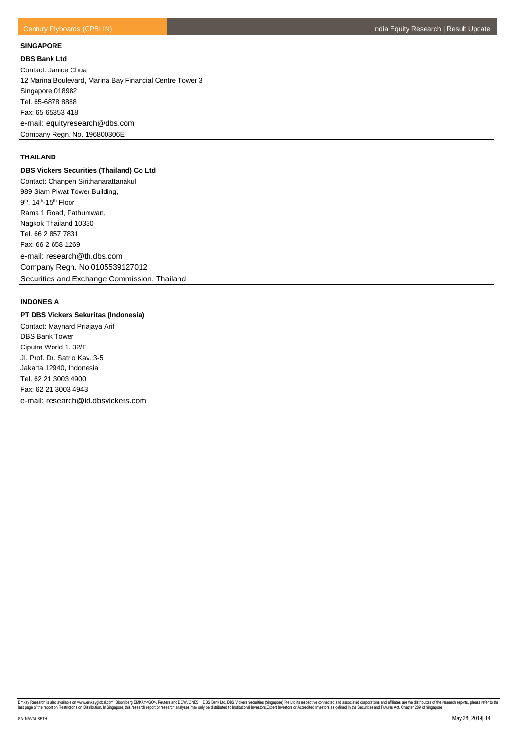# **SINGAPORE**

**DBS Bank Ltd** Contact: Janice Chua 12 Marina Boulevard, Marina Bay Financial Centre Tower 3 Singapore 018982 Tel. 65-6878 8888 Fax: 65 65353 418 e-mail: equityresearch@dbs.com Company Regn. No. 196800306E

# **THAILAND**

# **DBS Vickers Securities (Thailand) Co Ltd**

Contact: Chanpen Sirithanarattanakul 989 Siam Piwat Tower Building, 9<sup>th</sup>, 14<sup>th</sup>-15<sup>th</sup> Floor Rama 1 Road, Pathumwan, Nagkok Thailand 10330 Tel. 66 2 857 7831 Fax: 66 2 658 1269 e-mail: research@th.dbs.com Company Regn. No 0105539127012 Securities and Exchange Commission, Thailand

# **INDONESIA**

# **PT DBS Vickers Sekuritas (Indonesia)**

Contact: Maynard Priajaya Arif DBS Bank Tower Ciputra World 1, 32/F JI. Prof. Dr. Satrio Kav. 3-5 Jakarta 12940, Indonesia Tel. 62 21 3003 4900 Fax: 62 21 3003 4943 e-mail: research@id.dbsvickers.com